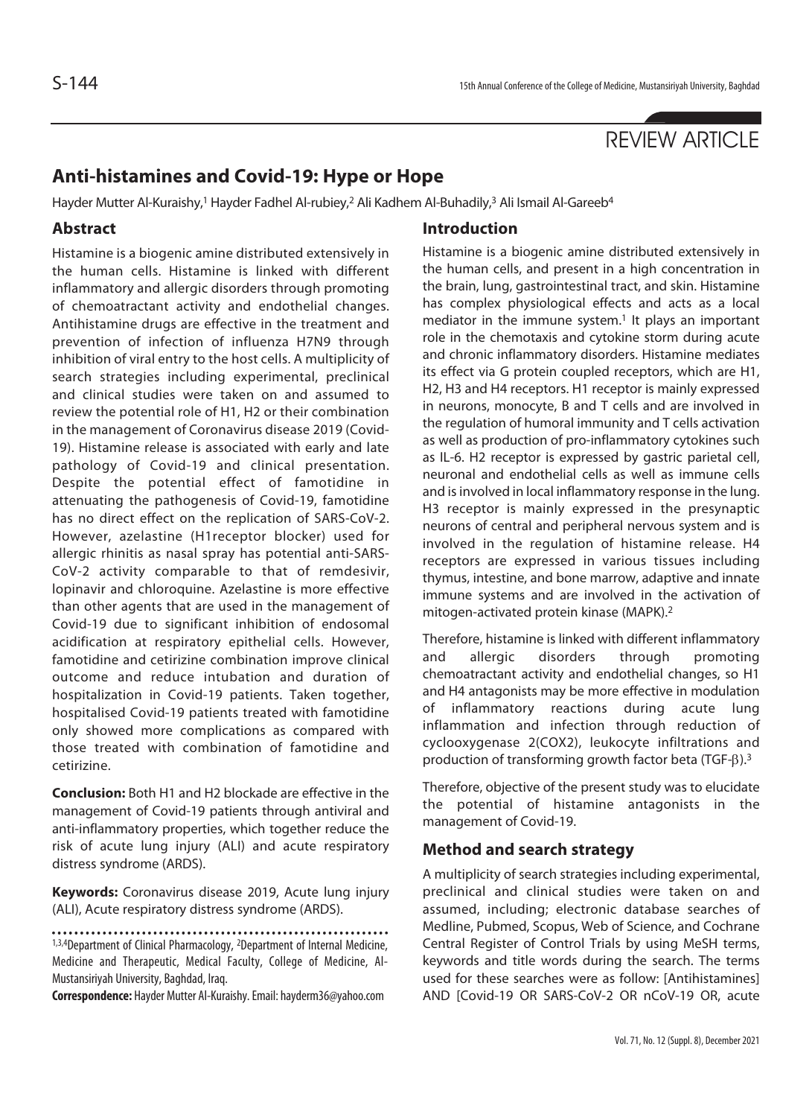# REVIEW ARTICLE

## **Anti-histamines and Covid-19: Hype or Hope**

Hayder Mutter Al-Kuraishy,<sup>1</sup> Hayder Fadhel Al-rubiey,<sup>2</sup> Ali Kadhem Al-Buhadily,<sup>3</sup> Ali Ismail Al-Gareeb<sup>4</sup>

### **Abstract**

Histamine is a biogenic amine distributed extensively in the human cells. Histamine is linked with different inflammatory and allergic disorders through promoting of chemoatractant activity and endothelial changes. Antihistamine drugs are effective in the treatment and prevention of infection of influenza H7N9 through inhibition of viral entry to the host cells. A multiplicity of search strategies including experimental, preclinical and clinical studies were taken on and assumed to review the potential role of H1, H2 or their combination in the management of Coronavirus disease 2019 (Covid-19). Histamine release is associated with early and late pathology of Covid-19 and clinical presentation. Despite the potential effect of famotidine in attenuating the pathogenesis of Covid-19, famotidine has no direct effect on the replication of SARS-CoV-2. However, azelastine (H1receptor blocker) used for allergic rhinitis as nasal spray has potential anti-SARS-CoV-2 activity comparable to that of remdesivir, lopinavir and chloroquine. Azelastine is more effective than other agents that are used in the management of Covid-19 due to significant inhibition of endosomal acidification at respiratory epithelial cells. However, famotidine and cetirizine combination improve clinical outcome and reduce intubation and duration of hospitalization in Covid-19 patients. Taken together, hospitalised Covid-19 patients treated with famotidine only showed more complications as compared with those treated with combination of famotidine and cetirizine.

**Conclusion:** Both H1 and H2 blockade are effective in the management of Covid-19 patients through antiviral and anti-inflammatory properties, which together reduce the risk of acute lung injury (ALI) and acute respiratory distress syndrome (ARDS).

**Keywords:** Coronavirus disease 2019, Acute lung injury (ALI), Acute respiratory distress syndrome (ARDS).

1,3,4Department of Clinical Pharmacology, 2Department of Internal Medicine, Medicine and Therapeutic, Medical Faculty, College of Medicine, Al-Mustansiriyah University, Baghdad, Iraq.

**Correspondence:** Hayder Mutter Al-Kuraishy. Email: hayderm36@yahoo.com

#### **Introduction**

Histamine is a biogenic amine distributed extensively in the human cells, and present in a high concentration in the brain, lung, gastrointestinal tract, and skin. Histamine has complex physiological effects and acts as a local mediator in the immune system.<sup>1</sup> It plays an important role in the chemotaxis and cytokine storm during acute and chronic inflammatory disorders. Histamine mediates its effect via G protein coupled receptors, which are H1, H2, H3 and H4 receptors. H1 receptor is mainly expressed in neurons, monocyte, B and T cells and are involved in the regulation of humoral immunity and T cells activation as well as production of pro-inflammatory cytokines such as IL-6. H2 receptor is expressed by gastric parietal cell, neuronal and endothelial cells as well as immune cells and is involved in local inflammatory response in the lung. H3 receptor is mainly expressed in the presynaptic neurons of central and peripheral nervous system and is involved in the regulation of histamine release. H4 receptors are expressed in various tissues including thymus, intestine, and bone marrow, adaptive and innate immune systems and are involved in the activation of mitogen-activated protein kinase (MAPK).2

Therefore, histamine is linked with different inflammatory and allergic disorders through promoting chemoatractant activity and endothelial changes, so H1 and H4 antagonists may be more effective in modulation of inflammatory reactions during acute lung inflammation and infection through reduction of cyclooxygenase 2(COX2), leukocyte infiltrations and production of transforming growth factor beta (TGF- $\beta$ ).<sup>3</sup>

Therefore, objective of the present study was to elucidate the potential of histamine antagonists in the management of Covid-19.

### **Method and search strategy**

A multiplicity of search strategies including experimental, preclinical and clinical studies were taken on and assumed, including; electronic database searches of Medline, Pubmed, Scopus, Web of Science, and Cochrane Central Register of Control Trials by using MeSH terms, keywords and title words during the search. The terms used for these searches were as follow: [Antihistamines] AND [Covid-19 OR SARS-CoV-2 OR nCoV-19 OR, acute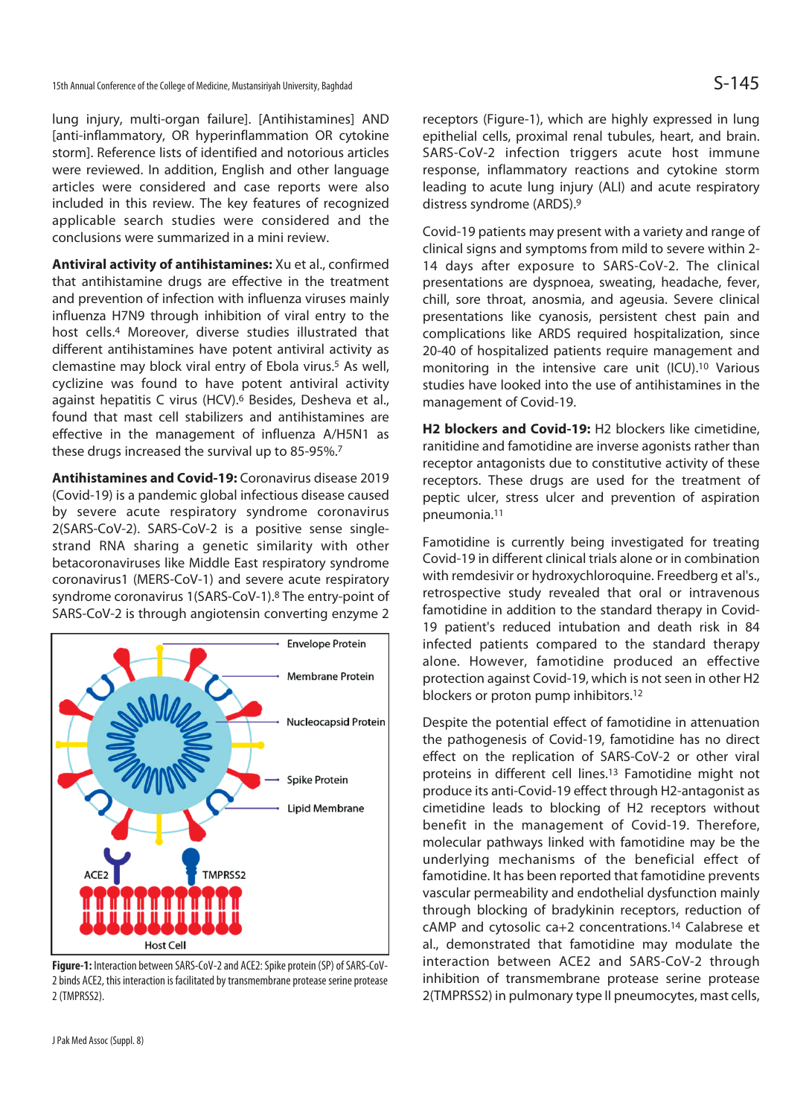lung injury, multi-organ failure]. [Antihistamines] AND [anti-inflammatory, OR hyperinflammation OR cytokine storm]. Reference lists of identified and notorious articles were reviewed. In addition, English and other language articles were considered and case reports were also included in this review. The key features of recognized applicable search studies were considered and the conclusions were summarized in a mini review.

**Antiviral activity of antihistamines:** Xu et al., confirmed that antihistamine drugs are effective in the treatment and prevention of infection with influenza viruses mainly influenza H7N9 through inhibition of viral entry to the host cells.4 Moreover, diverse studies illustrated that different antihistamines have potent antiviral activity as clemastine may block viral entry of Ebola virus.<sup>5</sup> As well, cyclizine was found to have potent antiviral activity against hepatitis C virus (HCV).6 Besides, Desheva et al., found that mast cell stabilizers and antihistamines are effective in the management of influenza A/H5N1 as these drugs increased the survival up to 85-95%.7

**Antihistamines and Covid-19:** Coronavirus disease 2019 (Covid-19) is a pandemic global infectious disease caused by severe acute respiratory syndrome coronavirus 2(SARS-CoV-2). SARS-CoV-2 is a positive sense singlestrand RNA sharing a genetic similarity with other betacoronaviruses like Middle East respiratory syndrome coronavirus1 (MERS-CoV-1) and severe acute respiratory syndrome coronavirus 1(SARS-CoV-1).8 The entry-point of SARS-CoV-2 is through angiotensin converting enzyme 2



**Figure-1:** Interaction between SARS-CoV-2 and ACE2: Spike protein (SP) of SARS-CoV-2 binds ACE2, this interaction is facilitated by transmembrane protease serine protease 2 (TMPRSS2).

receptors (Figure-1), which are highly expressed in lung epithelial cells, proximal renal tubules, heart, and brain. SARS-CoV-2 infection triggers acute host immune response, inflammatory reactions and cytokine storm leading to acute lung injury (ALI) and acute respiratory distress syndrome (ARDS).9

Covid-19 patients may present with a variety and range of clinical signs and symptoms from mild to severe within 2- 14 days after exposure to SARS-CoV-2. The clinical presentations are dyspnoea, sweating, headache, fever, chill, sore throat, anosmia, and ageusia. Severe clinical presentations like cyanosis, persistent chest pain and complications like ARDS required hospitalization, since 20-40 of hospitalized patients require management and monitoring in the intensive care unit (ICU).10 Various studies have looked into the use of antihistamines in the management of Covid-19.

**H2 blockers and Covid-19:** H2 blockers like cimetidine, ranitidine and famotidine are inverse agonists rather than receptor antagonists due to constitutive activity of these receptors. These drugs are used for the treatment of peptic ulcer, stress ulcer and prevention of aspiration pneumonia.11

Famotidine is currently being investigated for treating Covid-19 in different clinical trials alone or in combination with remdesivir or hydroxychloroquine. Freedberg et al's., retrospective study revealed that oral or intravenous famotidine in addition to the standard therapy in Covid-19 patient's reduced intubation and death risk in 84 infected patients compared to the standard therapy alone. However, famotidine produced an effective protection against Covid-19, which is not seen in other H2 blockers or proton pump inhibitors.12

Despite the potential effect of famotidine in attenuation the pathogenesis of Covid-19, famotidine has no direct effect on the replication of SARS-CoV-2 or other viral proteins in different cell lines.13 Famotidine might not produce its anti-Covid-19 effect through H2-antagonist as cimetidine leads to blocking of H2 receptors without benefit in the management of Covid-19. Therefore, molecular pathways linked with famotidine may be the underlying mechanisms of the beneficial effect of famotidine. It has been reported that famotidine prevents vascular permeability and endothelial dysfunction mainly through blocking of bradykinin receptors, reduction of cAMP and cytosolic ca+2 concentrations.14 Calabrese et al., demonstrated that famotidine may modulate the interaction between ACE2 and SARS-CoV-2 through inhibition of transmembrane protease serine protease 2(TMPRSS2) in pulmonary type II pneumocytes, mast cells,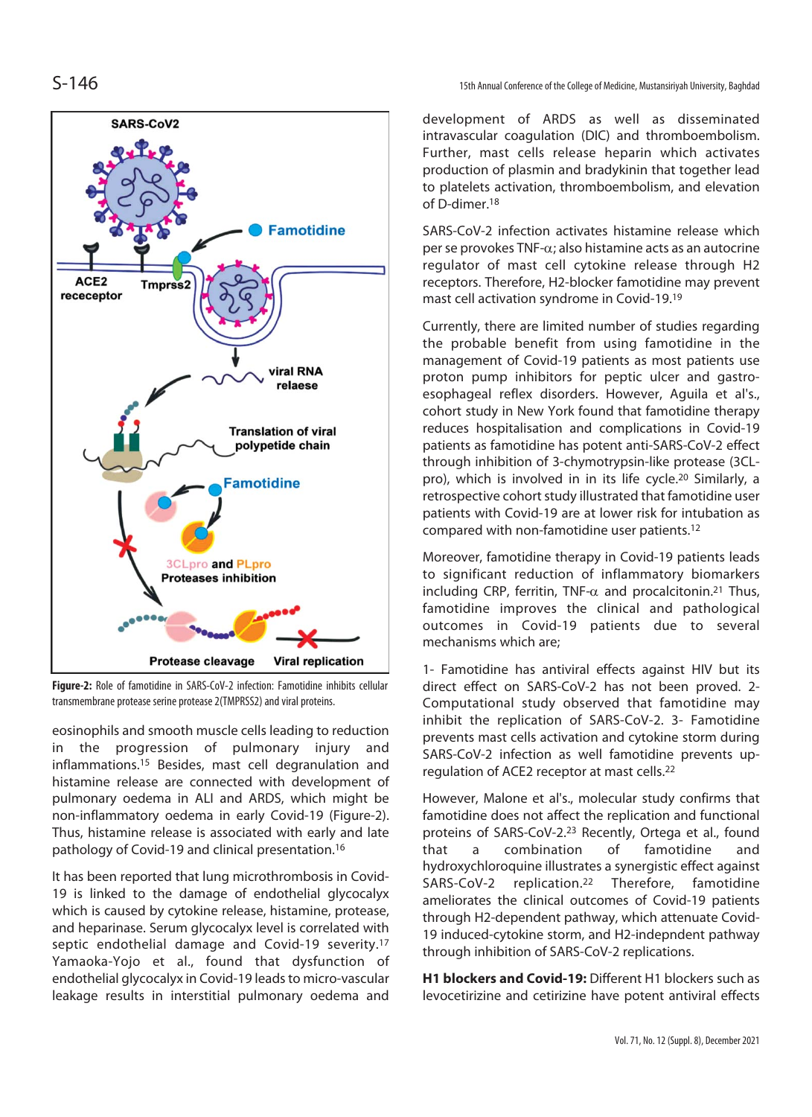

**Figure-2:** Role of famotidine in SARS-CoV-2 infection: Famotidine inhibits cellular transmembrane protease serine protease 2(TMPRSS2) and viral proteins.

eosinophils and smooth muscle cells leading to reduction in the progression of pulmonary injury and inflammations.15 Besides, mast cell degranulation and histamine release are connected with development of pulmonary oedema in ALI and ARDS, which might be non-inflammatory oedema in early Covid-19 (Figure-2). Thus, histamine release is associated with early and late pathology of Covid-19 and clinical presentation.16

It has been reported that lung microthrombosis in Covid-19 is linked to the damage of endothelial glycocalyx which is caused by cytokine release, histamine, protease, and heparinase. Serum glycocalyx level is correlated with septic endothelial damage and Covid-19 severity.<sup>17</sup> Yamaoka-Yojo et al., found that dysfunction of endothelial glycocalyx in Covid-19 leads to micro-vascular leakage results in interstitial pulmonary oedema and

 $S-146$  15th Annual Conference of the College of Medicine, Mustansiriyah University, Baghdad

development of ARDS as well as disseminated intravascular coagulation (DIC) and thromboembolism. Further, mast cells release heparin which activates production of plasmin and bradykinin that together lead to platelets activation, thromboembolism, and elevation of D-dimer<sup>18</sup>

SARS-CoV-2 infection activates histamine release which per se provokes TNF- $\alpha$ ; also histamine acts as an autocrine regulator of mast cell cytokine release through H2 receptors. Therefore, H2-blocker famotidine may prevent mast cell activation syndrome in Covid-19.19

Currently, there are limited number of studies regarding the probable benefit from using famotidine in the management of Covid-19 patients as most patients use proton pump inhibitors for peptic ulcer and gastroesophageal reflex disorders. However, Aguila et al's., cohort study in New York found that famotidine therapy reduces hospitalisation and complications in Covid-19 patients as famotidine has potent anti-SARS-CoV-2 effect through inhibition of 3-chymotrypsin-like protease (3CLpro), which is involved in in its life cycle.20 Similarly, a retrospective cohort study illustrated that famotidine user patients with Covid-19 are at lower risk for intubation as compared with non-famotidine user patients.12

Moreover, famotidine therapy in Covid-19 patients leads to significant reduction of inflammatory biomarkers including CRP, ferritin, TNF- $\alpha$  and procalcitonin.<sup>21</sup> Thus, famotidine improves the clinical and pathological outcomes in Covid-19 patients due to several mechanisms which are;

1- Famotidine has antiviral effects against HIV but its direct effect on SARS-CoV-2 has not been proved. 2- Computational study observed that famotidine may inhibit the replication of SARS-CoV-2. 3- Famotidine prevents mast cells activation and cytokine storm during SARS-CoV-2 infection as well famotidine prevents upregulation of ACE2 receptor at mast cells.22

However, Malone et al's., molecular study confirms that famotidine does not affect the replication and functional proteins of SARS-CoV-2.23 Recently, Ortega et al., found that a combination of famotidine and hydroxychloroquine illustrates a synergistic effect against SARS-CoV-2 replication.22 Therefore, famotidine ameliorates the clinical outcomes of Covid-19 patients through H2-dependent pathway, which attenuate Covid-19 induced-cytokine storm, and H2-indepndent pathway through inhibition of SARS-CoV-2 replications.

**H1 blockers and Covid-19:** Different H1 blockers such as levocetirizine and cetirizine have potent antiviral effects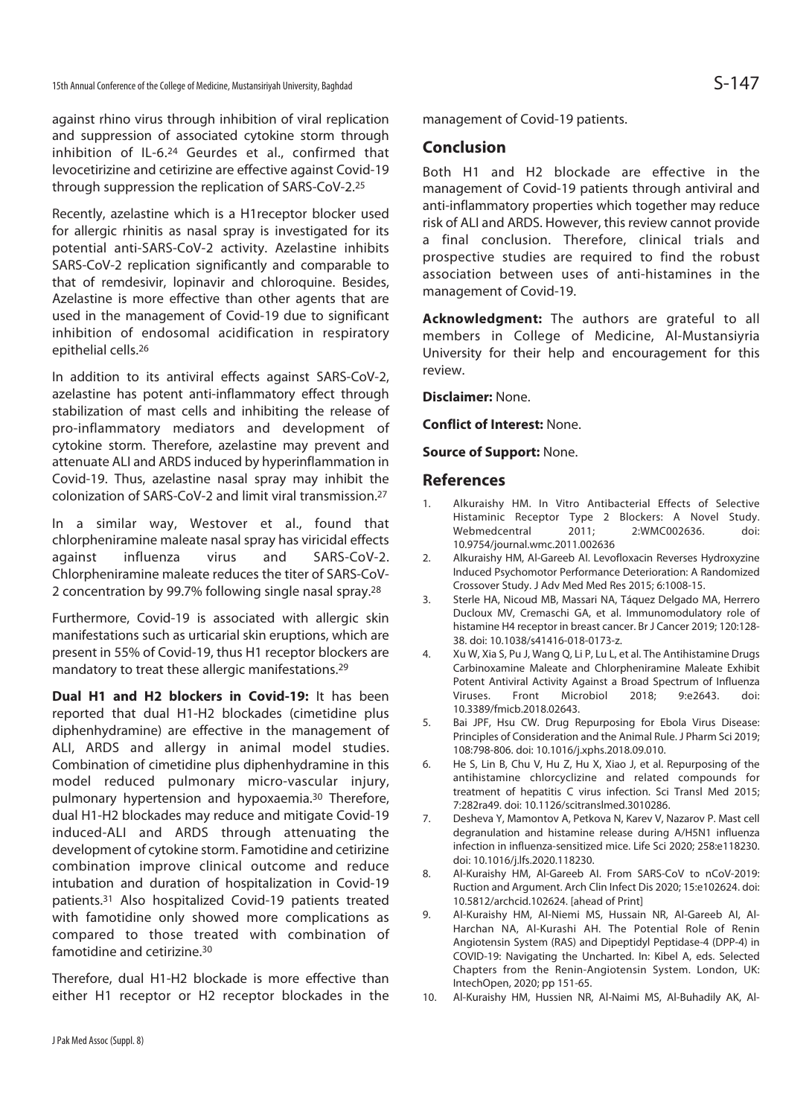against rhino virus through inhibition of viral replication and suppression of associated cytokine storm through inhibition of IL-6.24 Geurdes et al., confirmed that levocetirizine and cetirizine are effective against Covid-19 through suppression the replication of SARS-CoV-2.25

Recently, azelastine which is a H1receptor blocker used for allergic rhinitis as nasal spray is investigated for its potential anti-SARS-CoV-2 activity. Azelastine inhibits SARS-CoV-2 replication significantly and comparable to that of remdesivir, lopinavir and chloroquine. Besides, Azelastine is more effective than other agents that are used in the management of Covid-19 due to significant inhibition of endosomal acidification in respiratory epithelial cells.26

In addition to its antiviral effects against SARS-CoV-2, azelastine has potent anti-inflammatory effect through stabilization of mast cells and inhibiting the release of pro-inflammatory mediators and development of cytokine storm. Therefore, azelastine may prevent and attenuate ALI and ARDS induced by hyperinflammation in Covid-19. Thus, azelastine nasal spray may inhibit the colonization of SARS-CoV-2 and limit viral transmission.27

In a similar way, Westover et al., found that chlorpheniramine maleate nasal spray has viricidal effects against influenza virus and SARS-CoV-2. Chlorpheniramine maleate reduces the titer of SARS-CoV-2 concentration by 99.7% following single nasal spray.28

Furthermore, Covid-19 is associated with allergic skin manifestations such as urticarial skin eruptions, which are present in 55% of Covid-19, thus H1 receptor blockers are mandatory to treat these allergic manifestations.29

**Dual H1 and H2 blockers in Covid-19:** It has been reported that dual H1-H2 blockades (cimetidine plus diphenhydramine) are effective in the management of ALI, ARDS and allergy in animal model studies. Combination of cimetidine plus diphenhydramine in this model reduced pulmonary micro-vascular injury, pulmonary hypertension and hypoxaemia.30 Therefore, dual H1-H2 blockades may reduce and mitigate Covid-19 induced-ALI and ARDS through attenuating the development of cytokine storm. Famotidine and cetirizine combination improve clinical outcome and reduce intubation and duration of hospitalization in Covid-19 patients.31 Also hospitalized Covid-19 patients treated with famotidine only showed more complications as compared to those treated with combination of famotidine and cetirizine.30

Therefore, dual H1-H2 blockade is more effective than either H1 receptor or H2 receptor blockades in the management of Covid-19 patients.

#### **Conclusion**

Both H1 and H2 blockade are effective in the management of Covid-19 patients through antiviral and anti-inflammatory properties which together may reduce risk of ALI and ARDS. However, this review cannot provide a final conclusion. Therefore, clinical trials and prospective studies are required to find the robust association between uses of anti-histamines in the management of Covid-19.

**Acknowledgment:** The authors are grateful to all members in College of Medicine, Al-Mustansiyria University for their help and encouragement for this review.

**Disclaimer:** None.

**Conflict of Interest:** None.

**Source of Support:** None.

#### **References**

- 1. Alkuraishy HM. In Vitro Antibacterial Effects of Selective Histaminic Receptor Type 2 Blockers: A Novel Study. Webmedcentral 2011; 2:WMC002636. doi: 10.9754/journal.wmc.2011.002636
- 2. Alkuraishy HM, Al-Gareeb AI. Levofloxacin Reverses Hydroxyzine Induced Psychomotor Performance Deterioration: A Randomized Crossover Study. J Adv Med Med Res 2015; 6:1008-15.
- 3. Sterle HA, Nicoud MB, Massari NA, Táquez Delgado MA, Herrero Ducloux MV, Cremaschi GA, et al. Immunomodulatory role of histamine H4 receptor in breast cancer. Br J Cancer 2019; 120:128- 38. doi: 10.1038/s41416-018-0173-z.
- 4. Xu W, Xia S, Pu J, Wang Q, Li P, Lu L, et al. The Antihistamine Drugs Carbinoxamine Maleate and Chlorpheniramine Maleate Exhibit Potent Antiviral Activity Against a Broad Spectrum of Influenza Viruses. Front Microbiol 2018; 9:e2643. doi: 10.3389/fmicb.2018.02643.
- 5. Bai JPF, Hsu CW. Drug Repurposing for Ebola Virus Disease: Principles of Consideration and the Animal Rule. J Pharm Sci 2019; 108:798-806. doi: 10.1016/j.xphs.2018.09.010.
- 6. He S, Lin B, Chu V, Hu Z, Hu X, Xiao J, et al. Repurposing of the antihistamine chlorcyclizine and related compounds for treatment of hepatitis C virus infection. Sci Transl Med 2015; 7:282ra49. doi: 10.1126/scitranslmed.3010286.
- 7. Desheva Y, Mamontov A, Petkova N, Karev V, Nazarov P. Mast cell degranulation and histamine release during A/H5N1 influenza infection in influenza-sensitized mice. Life Sci 2020; 258:e118230. doi: 10.1016/j.lfs.2020.118230.
- 8. Al-Kuraishy HM, Al-Gareeb AI. From SARS-CoV to nCoV-2019: Ruction and Argument. Arch Clin Infect Dis 2020; 15:e102624. doi: 10.5812/archcid.102624. [ahead of Print]
- 9. Al-Kuraishy HM, Al-Niemi MS, Hussain NR, Al-Gareeb AI, Al-Harchan NA, Al-Kurashi AH. The Potential Role of Renin Angiotensin System (RAS) and Dipeptidyl Peptidase-4 (DPP-4) in COVID-19: Navigating the Uncharted. In: Kibel A, eds. Selected Chapters from the Renin-Angiotensin System. London, UK: IntechOpen, 2020; pp 151-65.
- 10. Al-Kuraishy HM, Hussien NR, Al-Naimi MS, Al-Buhadily AK, Al-